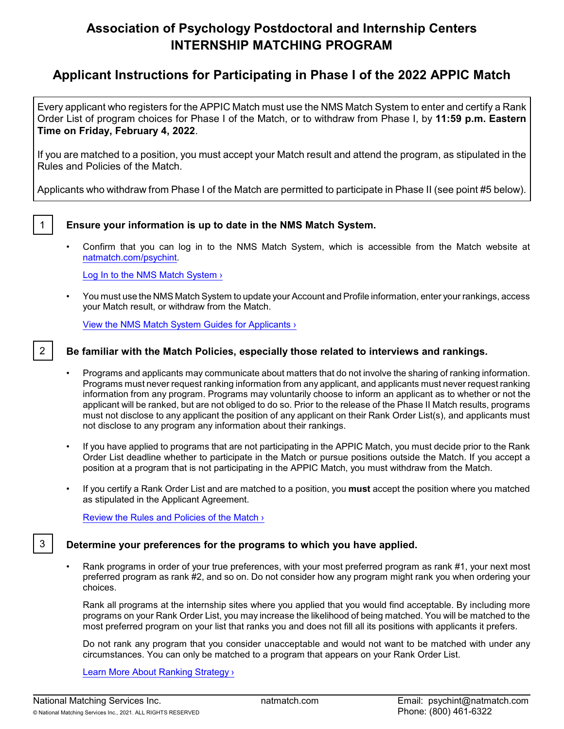# **Association of Psychology Postdoctoral and Internship Centers INTERNSHIP MATCHING PROGRAM**

# **Applicant Instructions for Participating in Phase I of the 2022 APPIC Match**

Every applicant who registers for the APPIC Match must use the NMS Match System to enter and certify a Rank Order List of program choices for Phase I of the Match, or to withdraw from Phase I, by **11:59 p.m. Eastern Time on Friday, February 4, 2022**.

If you are matched to a position, you must accept your Match result and attend the program, as stipulated in the Rules and Policies of the Match.

Applicants who withdraw from Phase I of the Match are permitted to participate in Phase II (see point #5 below).

#### 1 **Ensure your information is up to date in the NMS Match System.**

• Confirm that you can log in to the NMS Match System, which is accessible from the Match website at [natmatch.com/psychint](https://natmatch.com/psychint).

[Log In to the NMS Match System](https://natmatch.com/psychint/login.html) >

• You must use the NMS Match System to update your Account and Profile information, enter your rankings, access your Match result, or withdraw from the Match.

[View the NMS Match System Guides for Applicants ›](https://natmatch.com/psychint/help/app-landing.html#guides)

### 2 **Be familiar with the Match Policies, especially those related to interviews and rankings.**

- Programs and applicants may communicate about matters that do not involve the sharing of ranking information. Programs must never request ranking information from any applicant, and applicants must never request ranking information from any program. Programs may voluntarily choose to inform an applicant as to whether or not the applicant will be ranked, but are not obliged to do so. Prior to the release of the Phase II Match results, programs must not disclose to any applicant the position of any applicant on their Rank Order List(s), and applicants must not disclose to any program any information about their rankings.
- If you have applied to programs that are not participating in the APPIC Match, you must decide prior to the Rank Order List deadline whether to participate in the Match or pursue positions outside the Match. If you accept a position at a program that is not participating in the APPIC Match, you must withdraw from the Match.
- If you certify a Rank Order List and are matched to a position, you **must** accept the position where you matched as stipulated in the Applicant Agreement.

Review [the Rules and Policies of the Match ›](https://natmatch.com/psychint/rules.html)

#### 3 **Determine your preferences for the programs to which you have applied.**

• Rank programs in order of your true preferences, with your most preferred program as rank #1, your next most preferred program as rank #2, and so on. Do not consider how any program might rank you when ordering your choices.

Rank all programs at the internship sites where you applied that you would find acceptable. By including more programs on your Rank Order List, you may increase the likelihood of being matched. You will be matched to the most preferred program on your list that ranks you and does not fill all its positions with applicants it prefers.

Do not rank any program that you consider unacceptable and would not want to be matched with under any circumstances. You can only be matched to a program that appears on your Rank Order List.

[Learn More About Ranking Strategy ›](https://natmatch.com/psychint/applicants/strategy.html)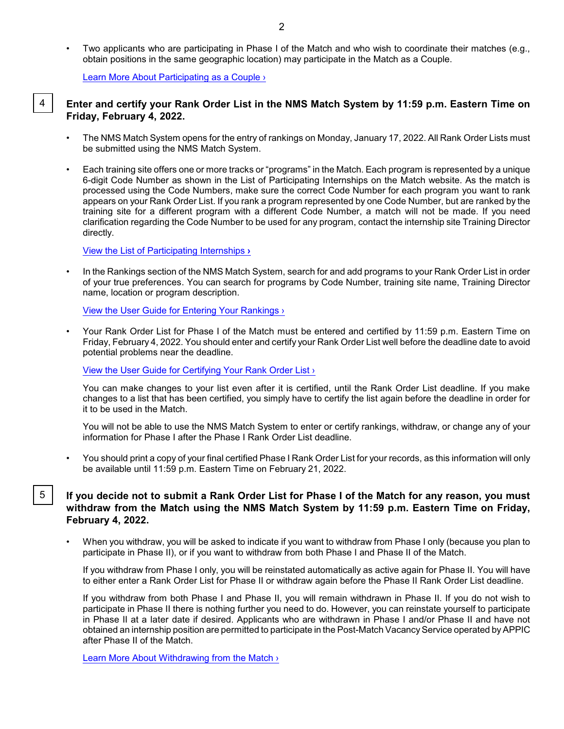• Two applicants who are participating in Phase I of the Match and who wish to coordinate their matches (e.g., obtain positions in the same geographic location) may participate in the Match as a Couple.

[Learn More About Participating as](https://natmatch.com/psychint/applicants/couples.html) a Couple ›

#### 4 **Enter and certify your Rank Order List in the NMS Match System by 11:59 p.m. Eastern Time on Friday, February 4, 2022.**

- The NMS Match System opens for the entry of rankings on Monday, January 17, 2022. All Rank Order Lists must be submitted using the NMS Match System.
- Each training site offers one or more tracks or "programs" in the Match. Each program is represented by a unique 6-digit Code Number as shown in the List of Participating Internships on the Match website. As the match is processed using the Code Numbers, make sure the correct Code Number for each program you want to rank appears on your Rank Order List. If you rank a program represented by one Code Number, but are ranked by the training site for a different program with a different Code Number, a match will not be made. If you need clarification regarding the Code Number to be used for any program, contact the internship site Training Director directly.

[View the List of Participating Internships](https://natmatch.com/psychint/directory/participating-programs.html) **›**

• In the Rankings section of the NMS Match System, search for and add programs to your Rank Order List in order of your true preferences. You can search for programs by Code Number, training site name, Training Director name, location or program description.

[View the User Guide for Entering Your Rankings](https://natmatch.com/psychint/applicants/rankings-guide.html#enter) ›

• Your Rank Order List for Phase I of the Match must be entered and certified by 11:59 p.m. Eastern Time on Friday, February 4, 2022. You should enter and certify your Rank Order List well before the deadline date to avoid potential problems near the deadline.

[View the User Guide for Certifying Your Rank](https://natmatch.com/psychint/applicants/rankings-guide.html#certify) Order List ›

You can make changes to your list even after it is certified, until the Rank Order List deadline. If you make changes to a list that has been certified, you simply have to certify the list again before the deadline in order for it to be used in the Match.

You will not be able to use the NMS Match System to enter or certify rankings, withdraw, or change any of your information for Phase I after the Phase I Rank Order List deadline.

• You should print a copy of your final certified Phase I Rank Order List for your records, as this information will only be available until 11:59 p.m. Eastern Time on February 21, 2022.

#### 5 **If you decide not to submit a Rank Order List for Phase I of the Match for any reason, you must withdraw from the Match using the NMS Match System by 11:59 p.m. Eastern Time on Friday, February 4, 2022.**

• When you withdraw, you will be asked to indicate if you want to withdraw from Phase I only (because you plan to participate in Phase II), or if you want to withdraw from both Phase I and Phase II of the Match.

If you withdraw from Phase I only, you will be reinstated automatically as active again for Phase II. You will have to either enter a Rank Order List for Phase II or withdraw again before the Phase II Rank Order List deadline.

If you withdraw from both Phase I and Phase II, you will remain withdrawn in Phase II. If you do not wish to participate in Phase II there is nothing further you need to do. However, you can reinstate yourself to participate in Phase II at a later date if desired. Applicants who are withdrawn in Phase I and/or Phase II and have not obtained an internship position are permitted to participate in the Post-Match Vacancy Service operated by APPIC after Phase II of the Match.

[Learn More About Withdrawing from the Match ›](https://natmatch.com/psychint/applicants/withdraw.html)